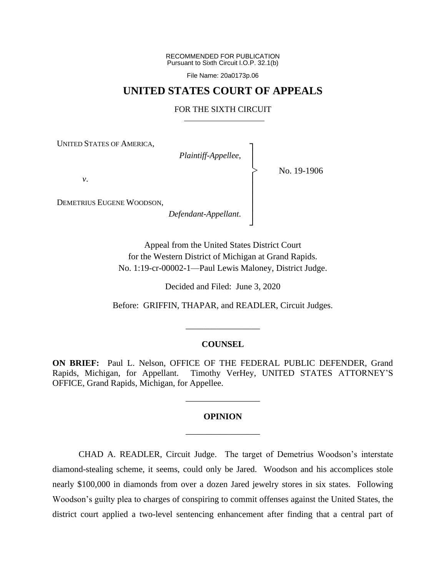RECOMMENDED FOR PUBLICATION Pursuant to Sixth Circuit I.O.P. 32.1(b)

File Name: 20a0173p.06

# **UNITED STATES COURT OF APPEALS**

## FOR THE SIXTH CIRCUIT

┐

│ │ │ │ │ │ ┘

|<br>|<br>|

UNITED STATES OF AMERICA,

*Plaintiff-Appellee*, │

No. 19-1906

*v*.

DEMETRIUS EUGENE WOODSON,

*Defendant-Appellant*.

Appeal from the United States District Court for the Western District of Michigan at Grand Rapids. No. 1:19-cr-00002-1—Paul Lewis Maloney, District Judge.

Decided and Filed: June 3, 2020

Before: GRIFFIN, THAPAR, and READLER, Circuit Judges.

### **COUNSEL**

\_\_\_\_\_\_\_\_\_\_\_\_\_\_\_\_\_

**ON BRIEF:** Paul L. Nelson, OFFICE OF THE FEDERAL PUBLIC DEFENDER, Grand Rapids, Michigan, for Appellant. Timothy VerHey, UNITED STATES ATTORNEY'S OFFICE, Grand Rapids, Michigan, for Appellee.

# **OPINION** \_\_\_\_\_\_\_\_\_\_\_\_\_\_\_\_\_

\_\_\_\_\_\_\_\_\_\_\_\_\_\_\_\_\_

CHAD A. READLER, Circuit Judge.The target of Demetrius Woodson's interstate diamond-stealing scheme, it seems, could only be Jared. Woodson and his accomplices stole nearly \$100,000 in diamonds from over a dozen Jared jewelry stores in six states. Following Woodson's guilty plea to charges of conspiring to commit offenses against the United States, the district court applied a two-level sentencing enhancement after finding that a central part of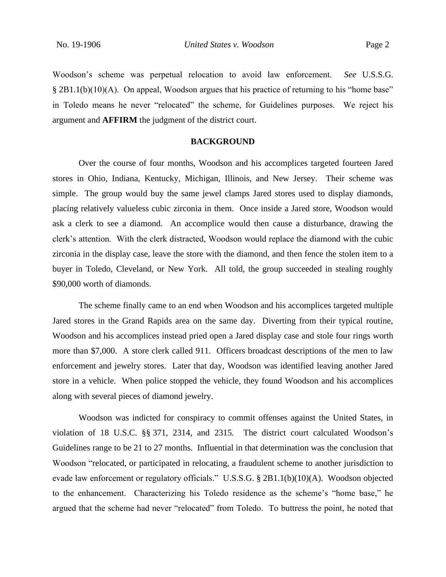Woodson's scheme was perpetual relocation to avoid law enforcement. *See* U.S.S.G. § 2B1.1(b)(10)(A). On appeal, Woodson argues that his practice of returning to his "home base" in Toledo means he never "relocated" the scheme, for Guidelines purposes. We reject his argument and **AFFIRM** the judgment of the district court.

## **BACKGROUND**

Over the course of four months, Woodson and his accomplices targeted fourteen Jared stores in Ohio, Indiana, Kentucky, Michigan, Illinois, and New Jersey. Their scheme was simple. The group would buy the same jewel clamps Jared stores used to display diamonds, placing relatively valueless cubic zirconia in them. Once inside a Jared store, Woodson would ask a clerk to see a diamond. An accomplice would then cause a disturbance, drawing the clerk's attention. With the clerk distracted, Woodson would replace the diamond with the cubic zirconia in the display case, leave the store with the diamond, and then fence the stolen item to a buyer in Toledo, Cleveland, or New York. All told, the group succeeded in stealing roughly \$90,000 worth of diamonds.

The scheme finally came to an end when Woodson and his accomplices targeted multiple Jared stores in the Grand Rapids area on the same day. Diverting from their typical routine, Woodson and his accomplices instead pried open a Jared display case and stole four rings worth more than \$7,000. A store clerk called 911. Officers broadcast descriptions of the men to law enforcement and jewelry stores. Later that day, Woodson was identified leaving another Jared store in a vehicle. When police stopped the vehicle, they found Woodson and his accomplices along with several pieces of diamond jewelry.

Woodson was indicted for conspiracy to commit offenses against the United States, in violation of 18 U.S.C. §§ 371, 2314, and 2315. The district court calculated Woodson's Guidelines range to be 21 to 27 months. Influential in that determination was the conclusion that Woodson "relocated, or participated in relocating, a fraudulent scheme to another jurisdiction to evade law enforcement or regulatory officials." U.S.S.G. § 2B1.1(b)(10)(A). Woodson objected to the enhancement. Characterizing his Toledo residence as the scheme's "home base," he argued that the scheme had never "relocated" from Toledo. To buttress the point, he noted that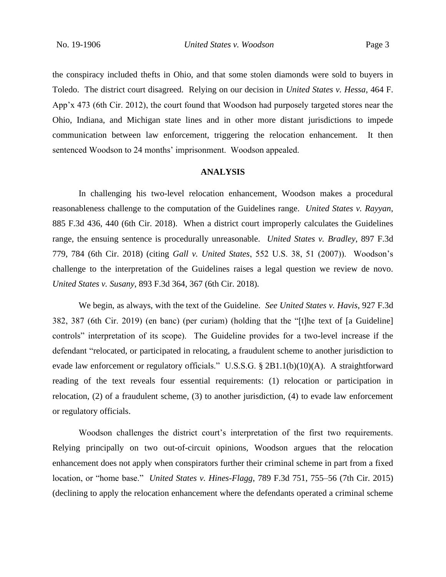the conspiracy included thefts in Ohio, and that some stolen diamonds were sold to buyers in Toledo. The district court disagreed. Relying on our decision in *United States v. Hessa*, 464 F. App'x 473 (6th Cir. 2012), the court found that Woodson had purposely targeted stores near the Ohio, Indiana, and Michigan state lines and in other more distant jurisdictions to impede communication between law enforcement, triggering the relocation enhancement. It then sentenced Woodson to 24 months' imprisonment. Woodson appealed.

### **ANALYSIS**

In challenging his two-level relocation enhancement, Woodson makes a procedural reasonableness challenge to the computation of the Guidelines range. *United States v. Rayyan*, 885 F.3d 436, 440 (6th Cir. 2018). When a district court improperly calculates the Guidelines range, the ensuing sentence is procedurally unreasonable. *United States v. Bradley*, 897 F.3d 779, 784 (6th Cir. 2018) (citing *Gall v. United States*, 552 U.S. 38, 51 (2007)). Woodson's challenge to the interpretation of the Guidelines raises a legal question we review de novo. *United States v. Susany*, 893 F.3d 364, 367 (6th Cir. 2018).

We begin, as always, with the text of the Guideline. *See United States v. Havis*, 927 F.3d 382, 387 (6th Cir. 2019) (en banc) (per curiam) (holding that the "[t]he text of [a Guideline] controls" interpretation of its scope). The Guideline provides for a two-level increase if the defendant "relocated, or participated in relocating, a fraudulent scheme to another jurisdiction to evade law enforcement or regulatory officials." U.S.S.G. § 2B1.1(b)(10)(A). A straightforward reading of the text reveals four essential requirements: (1) relocation or participation in relocation, (2) of a fraudulent scheme, (3) to another jurisdiction, (4) to evade law enforcement or regulatory officials.

Woodson challenges the district court's interpretation of the first two requirements. Relying principally on two out-of-circuit opinions, Woodson argues that the relocation enhancement does not apply when conspirators further their criminal scheme in part from a fixed location, or "home base." *United States v. Hines-Flagg*, 789 F.3d 751, 755–56 (7th Cir. 2015) (declining to apply the relocation enhancement where the defendants operated a criminal scheme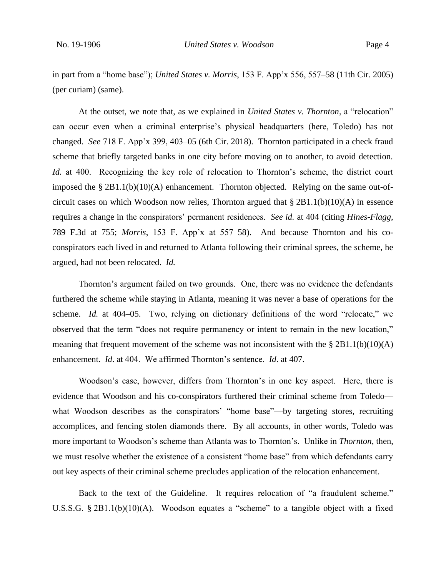in part from a "home base"); *United States v. Morris*, 153 F. App'x 556, 557–58 (11th Cir. 2005) (per curiam) (same).

At the outset, we note that, as we explained in *United States v. Thornton*, a "relocation" can occur even when a criminal enterprise's physical headquarters (here, Toledo) has not changed. *See* 718 F. App'x 399, 403–05 (6th Cir. 2018). Thornton participated in a check fraud scheme that briefly targeted banks in one city before moving on to another, to avoid detection. *Id.* at 400. Recognizing the key role of relocation to Thornton's scheme, the district court imposed the § 2B1.1(b)(10)(A) enhancement. Thornton objected. Relying on the same out-ofcircuit cases on which Woodson now relies, Thornton argued that  $\S 2B1.1(b)(10)(A)$  in essence requires a change in the conspirators' permanent residences. *See id.* at 404 (citing *Hines-Flagg*, 789 F.3d at 755; *Morris*, 153 F. App'x at 557–58). And because Thornton and his coconspirators each lived in and returned to Atlanta following their criminal sprees, the scheme, he argued, had not been relocated. *Id.*

Thornton's argument failed on two grounds. One, there was no evidence the defendants furthered the scheme while staying in Atlanta, meaning it was never a base of operations for the scheme. *Id.* at 404–05.Two, relying on dictionary definitions of the word "relocate," we observed that the term "does not require permanency or intent to remain in the new location," meaning that frequent movement of the scheme was not inconsistent with the  $\S 2B1.1(b)(10)(A)$ enhancement. *Id*. at 404. We affirmed Thornton's sentence. *Id*. at 407.

Woodson's case, however, differs from Thornton's in one key aspect. Here, there is evidence that Woodson and his co-conspirators furthered their criminal scheme from Toledo what Woodson describes as the conspirators' "home base"—by targeting stores, recruiting accomplices, and fencing stolen diamonds there. By all accounts, in other words, Toledo was more important to Woodson's scheme than Atlanta was to Thornton's. Unlike in *Thornton*, then, we must resolve whether the existence of a consistent "home base" from which defendants carry out key aspects of their criminal scheme precludes application of the relocation enhancement.

Back to the text of the Guideline. It requires relocation of "a fraudulent scheme." U.S.S.G. § 2B1.1(b)(10)(A). Woodson equates a "scheme" to a tangible object with a fixed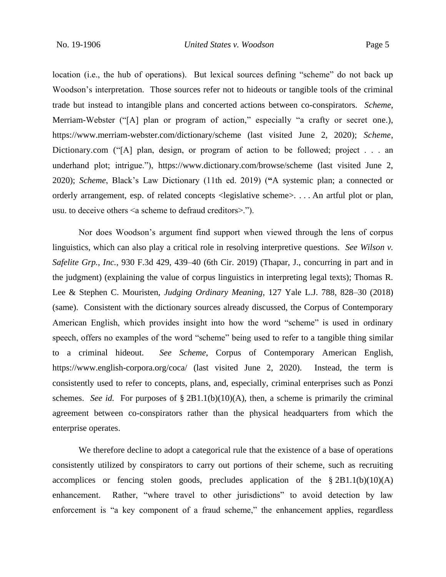location (i.e., the hub of operations). But lexical sources defining "scheme" do not back up Woodson's interpretation. Those sources refer not to hideouts or tangible tools of the criminal trade but instead to intangible plans and concerted actions between co-conspirators. *Scheme*, Merriam-Webster ("[A] plan or program of action," especially "a crafty or secret one.), https://www.merriam-webster.com/dictionary/scheme (last visited June 2, 2020); *Scheme*, Dictionary.com ("[A] plan, design, or program of action to be followed; project . . . an underhand plot; intrigue."), https://www.dictionary.com/browse/scheme (last visited June 2, 2020); *Scheme*, Black's Law Dictionary (11th ed. 2019) (**"**A systemic plan; a connected or orderly arrangement, esp. of related concepts <legislative scheme>. . . . An artful plot or plan, usu. to deceive others <a scheme to defraud creditors>.").

Nor does Woodson's argument find support when viewed through the lens of corpus linguistics, which can also play a critical role in resolving interpretive questions. *See Wilson v. Safelite Grp., Inc.*, 930 F.3d 429, 439–40 (6th Cir. 2019) (Thapar, J., concurring in part and in the judgment) (explaining the value of corpus linguistics in interpreting legal texts); Thomas R. Lee & Stephen C. Mouristen, *Judging Ordinary Meaning*, 127 Yale L.J. 788, 828–30 (2018) (same). Consistent with the dictionary sources already discussed, the Corpus of Contemporary American English, which provides insight into how the word "scheme" is used in ordinary speech, offers no examples of the word "scheme" being used to refer to a tangible thing similar to a criminal hideout. *See Scheme*, Corpus of Contemporary American English, https://www.english-corpora.org/coca/ (last visited June 2, 2020). Instead, the term is consistently used to refer to concepts, plans, and, especially, criminal enterprises such as Ponzi schemes. *See id.* For purposes of  $\S 2B1.1(b)(10)(A)$ , then, a scheme is primarily the criminal agreement between co-conspirators rather than the physical headquarters from which the enterprise operates.

We therefore decline to adopt a categorical rule that the existence of a base of operations consistently utilized by conspirators to carry out portions of their scheme, such as recruiting accomplices or fencing stolen goods, precludes application of the § 2B1.1(b)(10)(A) enhancement. Rather, "where travel to other jurisdictions" to avoid detection by law enforcement is "a key component of a fraud scheme," the enhancement applies, regardless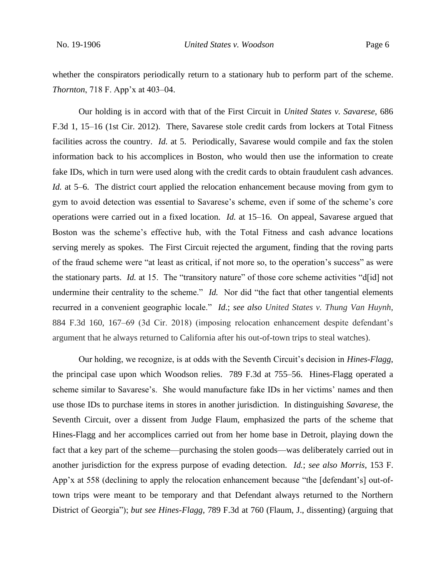whether the conspirators periodically return to a stationary hub to perform part of the scheme. *Thornton*, 718 F. App'x at 403–04.

Our holding is in accord with that of the First Circuit in *United States v. Savarese*, 686 F.3d 1, 15–16 (1st Cir. 2012). There, Savarese stole credit cards from lockers at Total Fitness facilities across the country. *Id.* at 5. Periodically, Savarese would compile and fax the stolen information back to his accomplices in Boston, who would then use the information to create fake IDs, which in turn were used along with the credit cards to obtain fraudulent cash advances. *Id.* at 5–6. The district court applied the relocation enhancement because moving from gym to gym to avoid detection was essential to Savarese's scheme, even if some of the scheme's core operations were carried out in a fixed location. *Id.* at 15–16. On appeal, Savarese argued that Boston was the scheme's effective hub, with the Total Fitness and cash advance locations serving merely as spokes. The First Circuit rejected the argument, finding that the roving parts of the fraud scheme were "at least as critical, if not more so, to the operation's success" as were the stationary parts. *Id.* at 15. The "transitory nature" of those core scheme activities "d[id] not undermine their centrality to the scheme." *Id.* Nor did "the fact that other tangential elements recurred in a convenient geographic locale." *Id*.; *see also United States v. Thung Van Huynh*, 884 F.3d 160, 167–69 (3d Cir. 2018) (imposing relocation enhancement despite defendant's argument that he always returned to California after his out-of-town trips to steal watches).

Our holding, we recognize, is at odds with the Seventh Circuit's decision in *Hines-Flagg*, the principal case upon which Woodson relies. 789 F.3d at 755–56. Hines-Flagg operated a scheme similar to Savarese's. She would manufacture fake IDs in her victims' names and then use those IDs to purchase items in stores in another jurisdiction. In distinguishing *Savarese*, the Seventh Circuit, over a dissent from Judge Flaum, emphasized the parts of the scheme that Hines-Flagg and her accomplices carried out from her home base in Detroit, playing down the fact that a key part of the scheme—purchasing the stolen goods—was deliberately carried out in another jurisdiction for the express purpose of evading detection. *Id.*; *see also Morris*, 153 F. App'x at 558 (declining to apply the relocation enhancement because "the [defendant's] out-oftown trips were meant to be temporary and that Defendant always returned to the Northern District of Georgia"); *but see Hines-Flagg*, 789 F.3d at 760 (Flaum, J., dissenting) (arguing that